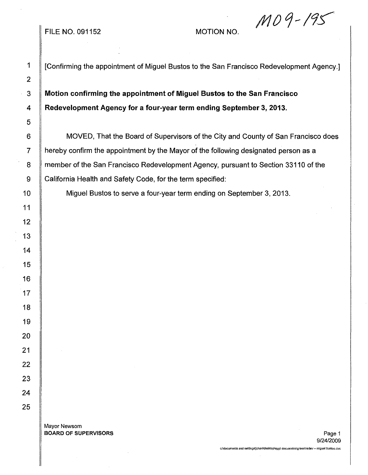## FILE NO. 091152 MOTION NO.

*/1101-/95*

 

1 | Confirming the appointment of Miguel Bustos to the San Francisco Redevelopment Agency.]

 **Motion confirming the appointment of Miguel Bustos to the San Francisco Redevelopment Agency for a four-year term ending September 3,2013.**

 MOVED, That the Board of Supervisors of the City and County of San Francisco does 7 | hereby confirm the appointment by the Mayor of the following designated person as a member of the San Francisco Redevelopment Agency, pursuant to Section 33110 of the 9 | California Health and Safety Code, for the term specified:

10 | Miguel Bustos to serve a four-year term ending on September 3, 2013.

Mayor Newsom **BOARD OF SUPERVISORS** Page 1

c:\documents and settings\jchan\desktop\appt documetns\green\redev - miguel bustos.doc